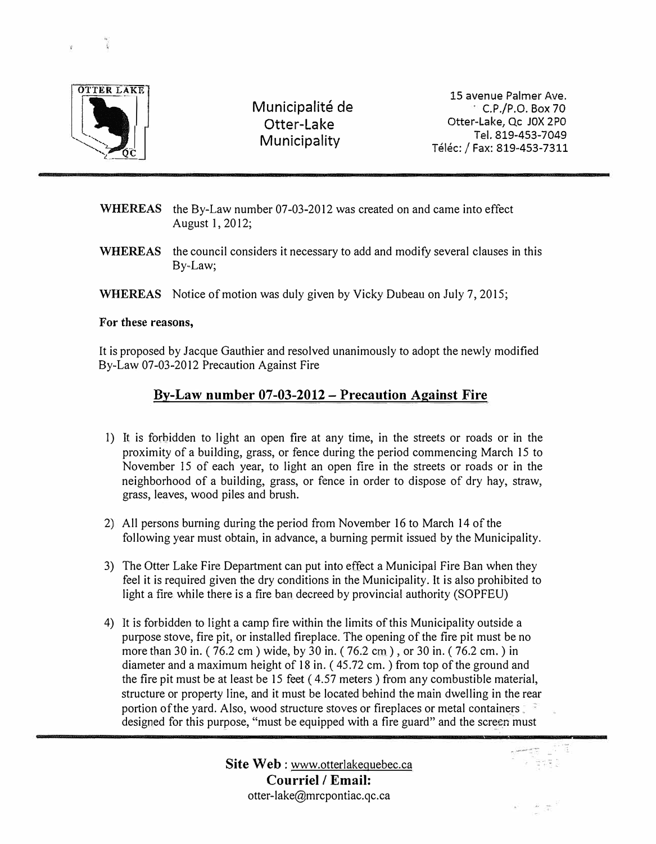

Municipalité de Otter-Lake Municipality

15 avenue Palmer Ave.  $\sim$  C.P./P.O. Box 70 Otter-Lake, Qc JOX 2PO Tel. 819-453-7049 Telec: / Fax: 819-453-7311

- WHEREAS the By-Law number 07-03-2012 was created on and came into effect August 1, 2012;
- WHEREAS the council considers it necessary to add and modify several clauses in this By-Law;
- WHEREAS Notice of motion was duly given by Vicky Dubeau on July 7, 2015;

## **For these reasons,**

It is proposed by Jacque Gauthier and resolved unanimously to adopt the newly modified By-Law 07-03-2012 Precaution Against Fire

## **By-Law number 07-03-2012- Precaution Against Fire**

- I) It is forbidden to light an open fire at any time, in the streets or roads or in the proximity of a building, grass, or fence during the period commencing March 15 to November 15 of each year, to light an open fire in the streets or roads or in the neighborhood of a building, grass, or fence in order to dispose of dry hay, straw, grass, leaves, wood piles and brush.
- 2) All persons burning during the period from November 16 to March 14 of the following year must obtain, in advance, a burning permit issued by the Municipality.
- 3) The Otter Lake Fire Department can put into effect a Municipal Fire Ban when they feel it is required given the dry conditions in the Municipality. It is also prohibited to light a fire while there is a fire ban decreed by provincial authority (SOPFEU)
- 4) It is forbidden to light a camp fire within the limits of this Municipality outside a purpose stove, fire pit, or installed fireplace. The opening of the fire pit must be no more than 30 in. ( 76.2 cm) wide, by 30 in. ( 76.2 cm), or 30 in. ( 76.2 cm.) in diameter and a maximum height of 18 in. (45.72 cm.) from top of the ground and the fire pit must be at least be 15 feet ( 4.57 meters) from any combustible material, structure or property line, and it must be located behind the main dwelling in the rear portion of the yard. Also, wood structure stoves or fireplaces or metal containers .. designed for this purpose, "must be equipped with a fire guard" and the screen must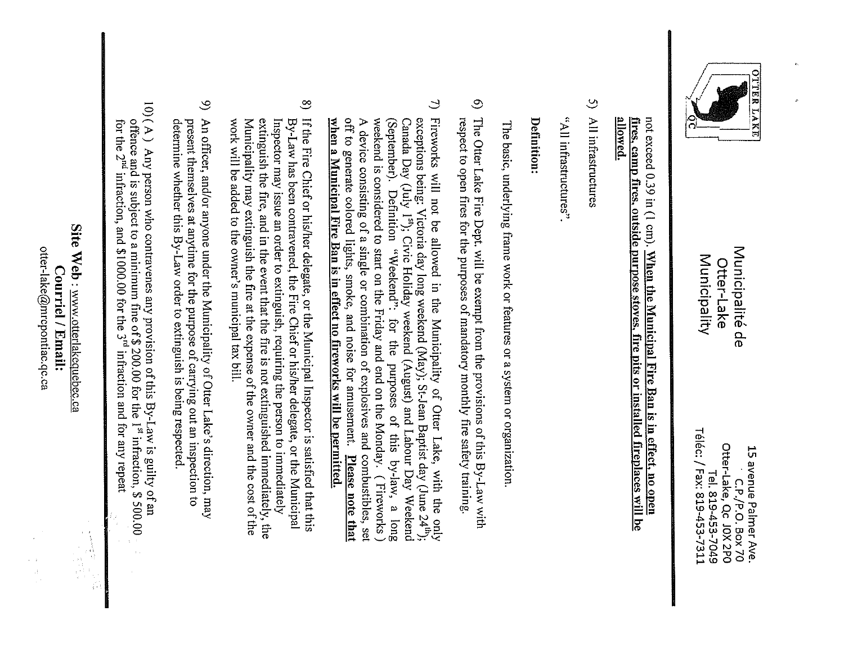

Municipalité de Municipality Otter-Lake

Téléc: / Fax: 819-453-7311 C.P./P.O. Box 70<br>Otter-Lake, Qc J0X 2P0 15 avenue Palmer Ave. Tel. 819-453-7049

## not exceed 0.39 in (1 cm). When the Municipal Fire Ban is in effect, no open allowed. fires, camp fires, outside purpose stoves, fire pits or installed fireplaces will be

5) All infrastructures

«Saurounseriuctures»

## Definition

The basic, underlying frame work or features or a system or organization.

- $\odot$ The Otter Lake Fire Dept. will be exempt from the provisions of this By-Law with respect to open fires for the purposes of mandatory monthly fire safety training.
- $\overline{C}$ Fireworks will not be allowed in the Municipality of Otter Lake, with the only off to generate colored lights, smoke, and noise for amusement. Please note that when a Municipal Fire Ban is in effect no fireworks will be permitted. A device consisting of a single or combination of explosives and combustibles, set weekend is considered to start on the Friday and end on the Monday. (Fireworks) (September). Definition "Weekend": Canada Day (July 1<sup>st</sup>); Civic Holiday weekend (August) and Labour Day Weekend exceptions being: Victoria day long weekend (May); St-Jean Baptist day (June 24<sup>th</sup>); for the purposes of this by-law, a long
- $\infty$ If the Fire Chief or his/her delegate, or the Municipal Inspector is satisfied that this Municipality may extinguish the fire at the expense of the owner and the cost of the extinguish the fire, and in the event that the fire is not extinguished immediately, the Inspector may issue an order to extinguish, requiring the person to immediately By-Law has been contravened, the Fire Chief or his/her delegate, or the Municipal work will be added to the owner's municipal tax bill.
- $\infty$ An officer, and/or anyone under the Municipality of Otter Lake's direction, may present themselves at anytime for the purpose of carrying out an inspection to determine whether this By-Law order to extinguish is being respected.
- 10) (A) Any person who contravenes any provision of this By-Law is guilty of an offence and is subject to a minimum fine of  $$200.00$  for the  $1<sup>st</sup>$  infraction,  $$500.00$ . for the  $2^{nd}$  infraction, and  $$1000.00$  for the  $3^{rd}$  infraction and for any repeat

Site Web: www.otterlakequebec.ca Courriel / Email:

otter-lake@mrcpontiac.qc.ca